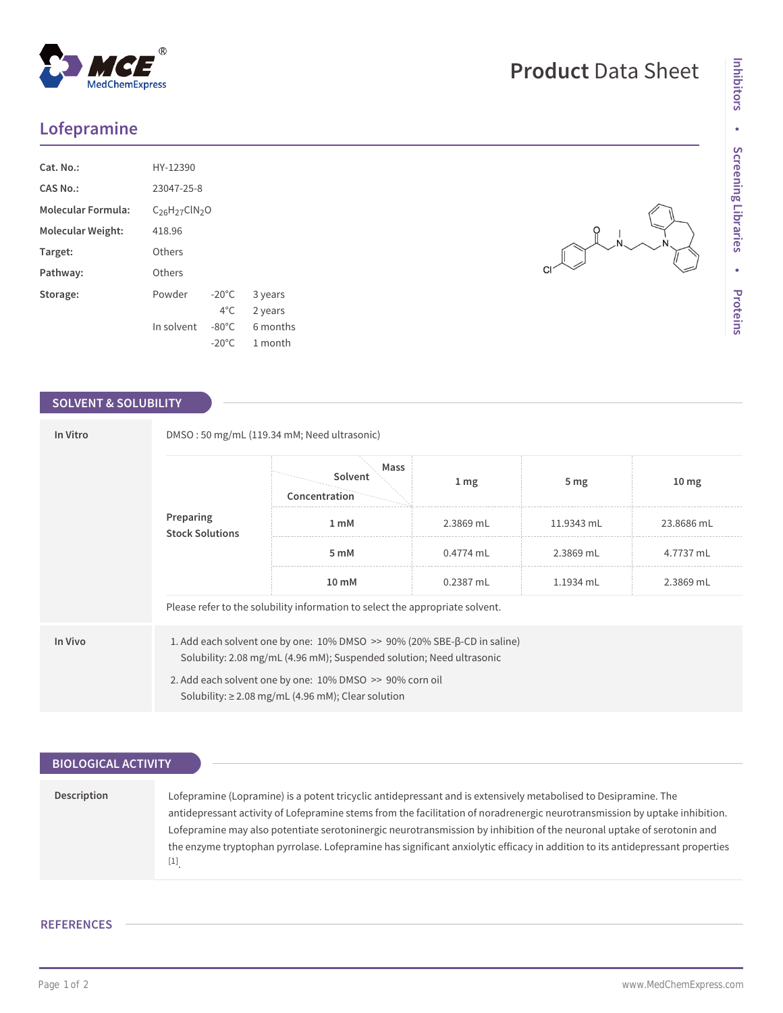# **Lofepramine**

| Cat. No.:                 | HY-12390               |                 |          |  |  |
|---------------------------|------------------------|-----------------|----------|--|--|
| CAS No.:                  | 23047-25-8             |                 |          |  |  |
| <b>Molecular Formula:</b> | $C_{26}H_{27}CIN_{2}O$ |                 |          |  |  |
| <b>Molecular Weight:</b>  | 418.96                 |                 |          |  |  |
| Target:                   | Others                 |                 |          |  |  |
| Pathway:                  | Others                 |                 |          |  |  |
| Storage:                  | Powder                 | $-20^{\circ}$ C | 3 years  |  |  |
|                           |                        | $4^{\circ}$ C.  | 2 years  |  |  |
|                           | In solvent             | $-80^{\circ}$ C | 6 months |  |  |
|                           |                        | $-20^{\circ}$ C | 1 month  |  |  |

## **SOLVENT & SOLUBILITY**

| In Vitro | DMSO: 50 mg/mL (119.34 mM; Need ultrasonic)                                                                                                                                                                                  |                                  |                  |                 |                  |  |  |
|----------|------------------------------------------------------------------------------------------------------------------------------------------------------------------------------------------------------------------------------|----------------------------------|------------------|-----------------|------------------|--|--|
|          | Preparing<br><b>Stock Solutions</b>                                                                                                                                                                                          | Mass<br>Solvent<br>Concentration | $1 \, \text{mg}$ | 5 <sub>mg</sub> | 10 <sub>mg</sub> |  |  |
|          |                                                                                                                                                                                                                              | 1 mM                             | 2.3869 mL        | 11.9343 mL      | 23.8686 mL       |  |  |
|          |                                                                                                                                                                                                                              | 5 mM                             | $0.4774$ mL      | 2.3869 mL       | 4.7737 mL        |  |  |
|          |                                                                                                                                                                                                                              | 10 mM                            | 0.2387 mL        | 1.1934 mL       | 2.3869 mL        |  |  |
|          | Please refer to the solubility information to select the appropriate solvent.                                                                                                                                                |                                  |                  |                 |                  |  |  |
| In Vivo  | 1. Add each solvent one by one: $10\%$ DMSO $\geq$ 90% (20% SBE- $\beta$ -CD in saline)<br>Solubility: 2.08 mg/mL (4.96 mM); Suspended solution; Need ultrasonic<br>2. Add each solvent one by one: 10% DMSO >> 90% corn oil |                                  |                  |                 |                  |  |  |
|          | Solubility: $\geq$ 2.08 mg/mL (4.96 mM); Clear solution                                                                                                                                                                      |                                  |                  |                 |                  |  |  |

| <b>BIOLOGICAL ACTIVITY</b> |                                                                                                                               |
|----------------------------|-------------------------------------------------------------------------------------------------------------------------------|
|                            |                                                                                                                               |
|                            |                                                                                                                               |
| Description                | Lofepramine (Lopramine) is a potent tricyclic antidepressant and is extensively metabolised to Desipramine. The               |
|                            | antidepressant activity of Lofepramine stems from the facilitation of noradrenergic neurotransmission by uptake inhibition.   |
|                            | Lofepramine may also potentiate serotoninergic neurotransmission by inhibition of the neuronal uptake of serotonin and        |
|                            | the enzyme tryptophan pyrrolase. Lofepramine has significant anxiolytic efficacy in addition to its antidepressant properties |
|                            | $[1]$                                                                                                                         |

### **REFERENCES**

**•**

**Proteins**